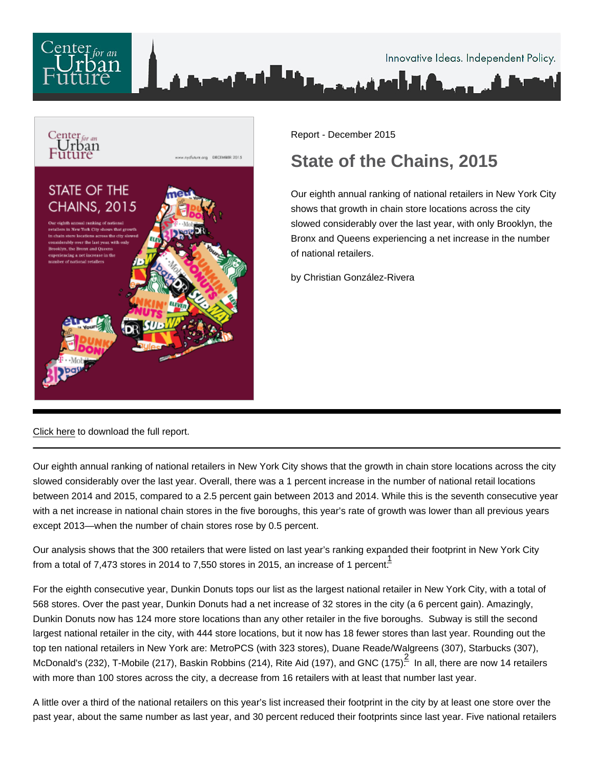

Report - December 2015

# State of the Chains, 2015

Our eighth annual ranking of national retailers in New York City shows that growth in chain store locations across the city slowed considerably over the last year, with only Brooklyn, the Bronx and Queens experiencing a net increase in the number of national retailers.

by Christian González-Rivera

[Click here](/pdf/State-of-the-Chains-2015-5.pdf) to download the full report.

Our eighth annual ranking of national retailers in New York City shows that the growth in chain store locations across the city slowed considerably over the last year. Overall, there was a 1 percent increase in the number of national retail locations between 2014 and 2015, compared to a 2.5 percent gain between 2013 and 2014. While this is the seventh consecutive year with a net increase in national chain stores in the five boroughs, this year's rate of growth was lower than all previous years except 2013—when the number of chain stores rose by 0.5 percent.

Our analysis shows that the 300 retailers that were listed on last year's ranking expanded their footprint in New York City from a total of 7,473 stores in 2014 to 7,550 stores in 2015, an increase of 1 percent.

For the eighth consecutive year, Dunkin Donuts tops our list as the largest national retailer in New York City, with a total of 568 stores. Over the past year, Dunkin Donuts had a net increase of 32 stores in the city (a 6 percent gain). Amazingly, Dunkin Donuts now has 124 more store locations than any other retailer in the five boroughs. Subway is still the second largest national retailer in the city, with 444 store locations, but it now has 18 fewer stores than last year. Rounding out the top ten national retailers in New York are: MetroPCS (with 323 stores), Duane Reade/Walgreens (307), Starbucks (307), McDonald's ([2](#page-3-0)32), T-Mobile (217), Baskin Robbins (214), Rite Aid (197), and GNC (175) $\frac{2}{5}$  In all, there are now 14 retailers with more than 100 stores across the city, a decrease from 16 retailers with at least that number last year.

A little over a third of the national retailers on this year's list increased their footprint in the city by at least one store over the past year, about the same number as last year, and 30 percent reduced their footprints since last year. Five national retailers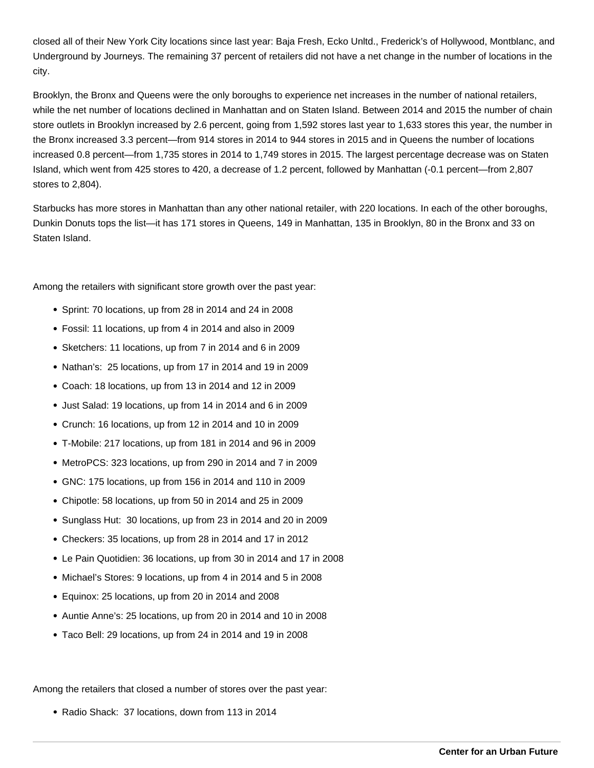closed all of their New York City locations since last year: Baja Fresh, Ecko Unltd., Frederick's of Hollywood, Montblanc, and Underground by Journeys. The remaining 37 percent of retailers did not have a net change in the number of locations in the city.

Brooklyn, the Bronx and Queens were the only boroughs to experience net increases in the number of national retailers, while the net number of locations declined in Manhattan and on Staten Island. Between 2014 and 2015 the number of chain store outlets in Brooklyn increased by 2.6 percent, going from 1,592 stores last year to 1,633 stores this year, the number in the Bronx increased 3.3 percent—from 914 stores in 2014 to 944 stores in 2015 and in Queens the number of locations increased 0.8 percent—from 1,735 stores in 2014 to 1,749 stores in 2015. The largest percentage decrease was on Staten Island, which went from 425 stores to 420, a decrease of 1.2 percent, followed by Manhattan (-0.1 percent—from 2,807 stores to 2,804).

Starbucks has more stores in Manhattan than any other national retailer, with 220 locations. In each of the other boroughs, Dunkin Donuts tops the list—it has 171 stores in Queens, 149 in Manhattan, 135 in Brooklyn, 80 in the Bronx and 33 on Staten Island.

Among the retailers with significant store growth over the past year:

- Sprint: 70 locations, up from 28 in 2014 and 24 in 2008
- Fossil: 11 locations, up from 4 in 2014 and also in 2009
- Sketchers: 11 locations, up from 7 in 2014 and 6 in 2009
- Nathan's: 25 locations, up from 17 in 2014 and 19 in 2009
- Coach: 18 locations, up from 13 in 2014 and 12 in 2009
- Just Salad: 19 locations, up from 14 in 2014 and 6 in 2009
- Crunch: 16 locations, up from 12 in 2014 and 10 in 2009
- T-Mobile: 217 locations, up from 181 in 2014 and 96 in 2009
- MetroPCS: 323 locations, up from 290 in 2014 and 7 in 2009
- GNC: 175 locations, up from 156 in 2014 and 110 in 2009
- Chipotle: 58 locations, up from 50 in 2014 and 25 in 2009
- Sunglass Hut: 30 locations, up from 23 in 2014 and 20 in 2009
- Checkers: 35 locations, up from 28 in 2014 and 17 in 2012
- Le Pain Quotidien: 36 locations, up from 30 in 2014 and 17 in 2008
- Michael's Stores: 9 locations, up from 4 in 2014 and 5 in 2008
- Equinox: 25 locations, up from 20 in 2014 and 2008
- Auntie Anne's: 25 locations, up from 20 in 2014 and 10 in 2008
- Taco Bell: 29 locations, up from 24 in 2014 and 19 in 2008

Among the retailers that closed a number of stores over the past year:

• Radio Shack: 37 locations, down from 113 in 2014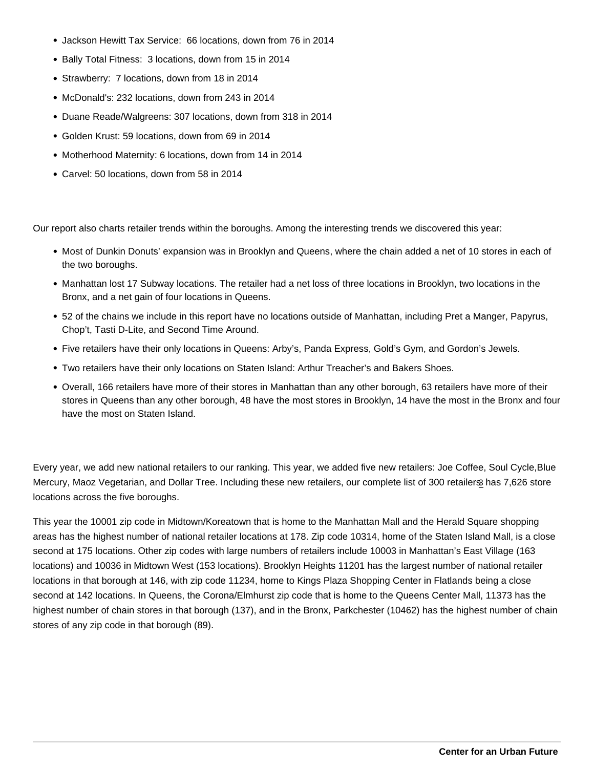- Jackson Hewitt Tax Service: 66 locations, down from 76 in 2014
- Bally Total Fitness: 3 locations, down from 15 in 2014
- Strawberry: 7 locations, down from 18 in 2014
- McDonald's: 232 locations, down from 243 in 2014
- Duane Reade/Walgreens: 307 locations, down from 318 in 2014
- Golden Krust: 59 locations, down from 69 in 2014
- Motherhood Maternity: 6 locations, down from 14 in 2014
- Carvel: 50 locations, down from 58 in 2014

Our report also charts retailer trends within the boroughs. Among the interesting trends we discovered this year:

- Most of Dunkin Donuts' expansion was in Brooklyn and Queens, where the chain added a net of 10 stores in each of the two boroughs.
- Manhattan lost 17 Subway locations. The retailer had a net loss of three locations in Brooklyn, two locations in the Bronx, and a net gain of four locations in Queens.
- 52 of the chains we include in this report have no locations outside of Manhattan, including Pret a Manger, Papyrus, Chop't, Tasti D-Lite, and Second Time Around.
- Five retailers have their only locations in Queens: Arby's, Panda Express, Gold's Gym, and Gordon's Jewels.
- Two retailers have their only locations on Staten Island: Arthur Treacher's and Bakers Shoes.
- Overall, 166 retailers have more of their stores in Manhattan than any other borough, 63 retailers have more of their stores in Queens than any other borough, 48 have the most stores in Brooklyn, 14 have the most in the Bronx and four have the most on Staten Island.

Every year, we add new national retailers to our ranking. This year, we added five new retailers: Joe Coffee, Soul Cycle, Blue Mercury, Maoz Vegetarian, and Dollar Tree. Including these new retailers, our complete list of [3](#page-3-0)00 retailers has 7,626 store locations across the five boroughs.

This year the 10001 zip code in Midtown/Koreatown that is home to the Manhattan Mall and the Herald Square shopping areas has the highest number of national retailer locations at 178. Zip code 10314, home of the Staten Island Mall, is a close second at 175 locations. Other zip codes with large numbers of retailers include 10003 in Manhattan's East Village (163 locations) and 10036 in Midtown West (153 locations). Brooklyn Heights 11201 has the largest number of national retailer locations in that borough at 146, with zip code 11234, home to Kings Plaza Shopping Center in Flatlands being a close second at 142 locations. In Queens, the Corona/Elmhurst zip code that is home to the Queens Center Mall, 11373 has the highest number of chain stores in that borough (137), and in the Bronx, Parkchester (10462) has the highest number of chain stores of any zip code in that borough (89).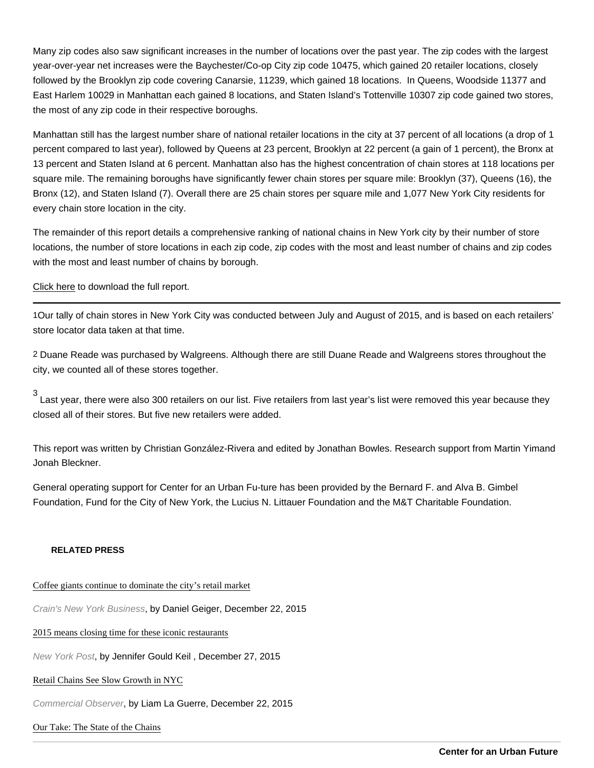<span id="page-3-0"></span>Many zip codes also saw significant increases in the number of locations over the past year. The zip codes with the largest year-over-year net increases were the Baychester/Co-op City zip code 10475, which gained 20 retailer locations, closely followed by the Brooklyn zip code covering Canarsie, 11239, which gained 18 locations. In Queens, Woodside 11377 and East Harlem 10029 in Manhattan each gained 8 locations, and Staten Island's Tottenville 10307 zip code gained two stores, the most of any zip code in their respective boroughs.

Manhattan still has the largest number share of national retailer locations in the city at 37 percent of all locations (a drop of 1 percent compared to last year), followed by Queens at 23 percent, Brooklyn at 22 percent (a gain of 1 percent), the Bronx at 13 percent and Staten Island at 6 percent. Manhattan also has the highest concentration of chain stores at 118 locations per square mile. The remaining boroughs have significantly fewer chain stores per square mile: Brooklyn (37), Queens (16), the Bronx (12), and Staten Island (7). Overall there are 25 chain stores per square mile and 1,077 New York City residents for every chain store location in the city.

The remainder of this report details a comprehensive ranking of national chains in New York city by their number of store locations, the number of store locations in each zip code, zip codes with the most and least number of chains and zip codes with the most and least number of chains by borough.

## [Click here](/pdf/State-of-the-Chains-2015-5.pdf) to download the full report.

1Our tally of chain stores in New York City was conducted between July and August of 2015, and is based on each retailers' store locator data taken at that time.

2 Duane Reade was purchased by Walgreens. Although there are still Duane Reade and Walgreens stores throughout the city, we counted all of these stores together.

3 Last year, there were also 300 retailers on our list. Five retailers from last year's list were removed this year because they closed all of their stores. But five new retailers were added.

This report was written by Christian González-Rivera and edited by Jonathan Bowles. Research support from Martin Yimand Jonah Bleckner.

General operating support for Center for an Urban Fu-ture has been provided by the Bernard F. and Alva B. Gimbel Foundation, Fund for the City of New York, the Lucius N. Littauer Foundation and the M&T Charitable Foundation.

## RELATED PRESS

## [Coffee giants continue to dominate the city's retail ma](http://www.crainsnewyork.com/article/20151222/REAL_ESTATE/151229984/coffee-giants-continue-to-dominate-the-citys-retail-market#utm_medium=email&utm_source=cnyb-dailyalert&utm_campaign=cnyb-dailyalert-20151222)rket

Crain's New York Business, by Daniel Geiger, December 22, 2015

## [2015 means closing time for these iconic restau](http://nypost.com/2015/12/27/2015-means-closing-time-for-these-iconic-restaurants/)rants

New York Post, by Jennifer Gould Keil , December 27, 2015

## [Retail Chains See Slow Growth in NY](https://commercialobserver.com/2015/12/retail-chains-see-slow-growth-in-new-york-city/)C

Commercial Observer, by Liam La Guerre, December 22, 2015

# [Our Take: The State of the Cha](http://www.nypress.com/local-news/20151229/our-take-the-state-of-the-chains)ins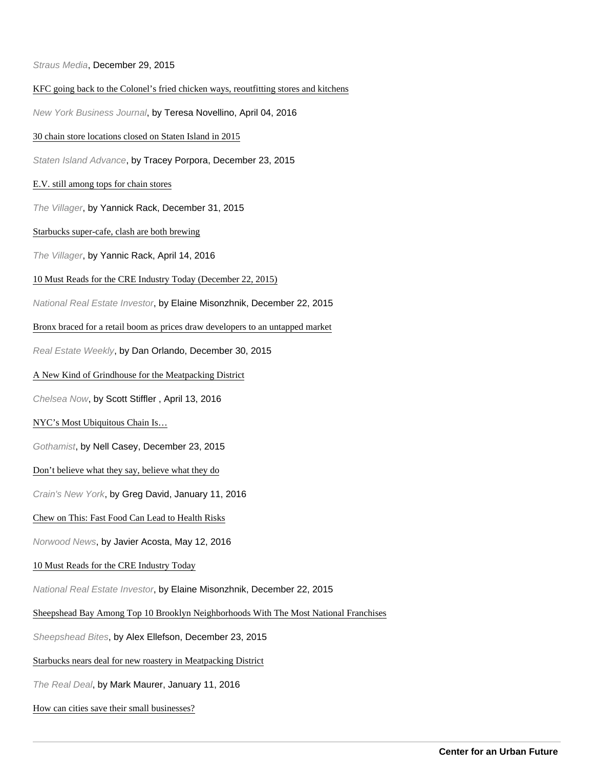Straus Media, December 29, 2015

## [KFC going back to the Colonel's fried chicken ways, reoutfitting stores and kit](http://www.bizjournals.com/newyork/news/2016/04/04/kfc-redo-stores-return-to-colonel-chicken-method.html)chens

New York Business Journal, by Teresa Novellino, April 04, 2016

[30 chain store locations closed on Staten Island in](http://www.silive.com/news/index.ssf/2015/12/chain_stores_decreasing_on_sta.html) 2015

Staten Island Advance, by Tracey Porpora, December 23, 2015

## [E.V. still among tops for chain stor](http://thevillager.com/2015/12/31/e-v-still-among-tops-for-chain-stores/)es

The Villager, by Yannick Rack, December 31, 2015

## [Starbucks super-cafe, clash are both bre](http://thevillager.com/2016/04/14/starbucks-super-cafe-clash-are-both-brewing/)wing

The Villager, by Yannic Rack, April 14, 2016

### [10 Must Reads for the CRE Industry Today \(December 22,](http://nreionline.com/industry-buzz/10-must-reads-cre-industry-today-december-22-2015) 2015)

National Real Estate Investor, by Elaine Misonzhnik, December 22, 2015

### [Bronx braced for a retail boom as prices draw developers to an untapped](http://rew-online.com/2015/12/30/bronx-braced-for-a-retail-boom-as-prices-draw-developers-to-an-untapped-market/) market

Real Estate Weekly, by Dan Orlando, December 30, 2015

## [A New Kind of Grindhouse for the Meatpacking Dist](http://chelseanow.com/2016/04/a-new-kind-of-grindhouse-for-the-meatpacking-district/)rict

Chelsea Now, by Scott Stiffler , April 13, 2016

## [NYC's Most Ubiquitous Chain Is…](http://gothamist.com/2015/12/23/nyc_chain_stores.php)

Gothamist, by Nell Casey, December 23, 2015

## [Don't believe what they say, believe what they](http://www.crainsnewyork.com/article/20160110/BLOGS01/301109993/dont-believe-what-they-say-believe-what-they-do) do

Crain's New York, by Greg David, January 11, 2016

## [Chew on This: Fast Food Can Lead to Health R](http://www.norwoodnews.org/id=21037&story=chew-on-this-fast-food-can-lead-to-health-risks/)isks

Norwood News, by Javier Acosta, May 12, 2016

## [10 Must Reads for the CRE Industry To](http://nreionline.com/industry-buzz/10-must-reads-cre-industry-today-december-22-2015)day

National Real Estate Investor, by Elaine Misonzhnik, December 22, 2015

## [Sheepshead Bay Among Top 10 Brooklyn Neighborhoods With The Most National Fra](http://www.sheepsheadbites.com/2015/12/sheepshead-bay-among-top-10-brooklyn-neighborhoods-with-the-most-national-franshises/)nchises

Sheepshead Bites, by Alex Ellefson, December 23, 2015

## [Starbucks nears deal for new roastery in Meatpacking D](http://therealdeal.com/2016/01/11/starbucks-nears-deal-for-new-roastery-in-meatpacking-district/)istrict

The Real Deal, by Mark Maurer, January 11, 2016

#### [How can cities save their small business](http://www.curbed.com/2016/10/17/13291184/small-business-gentrification-historic-preservation)es?